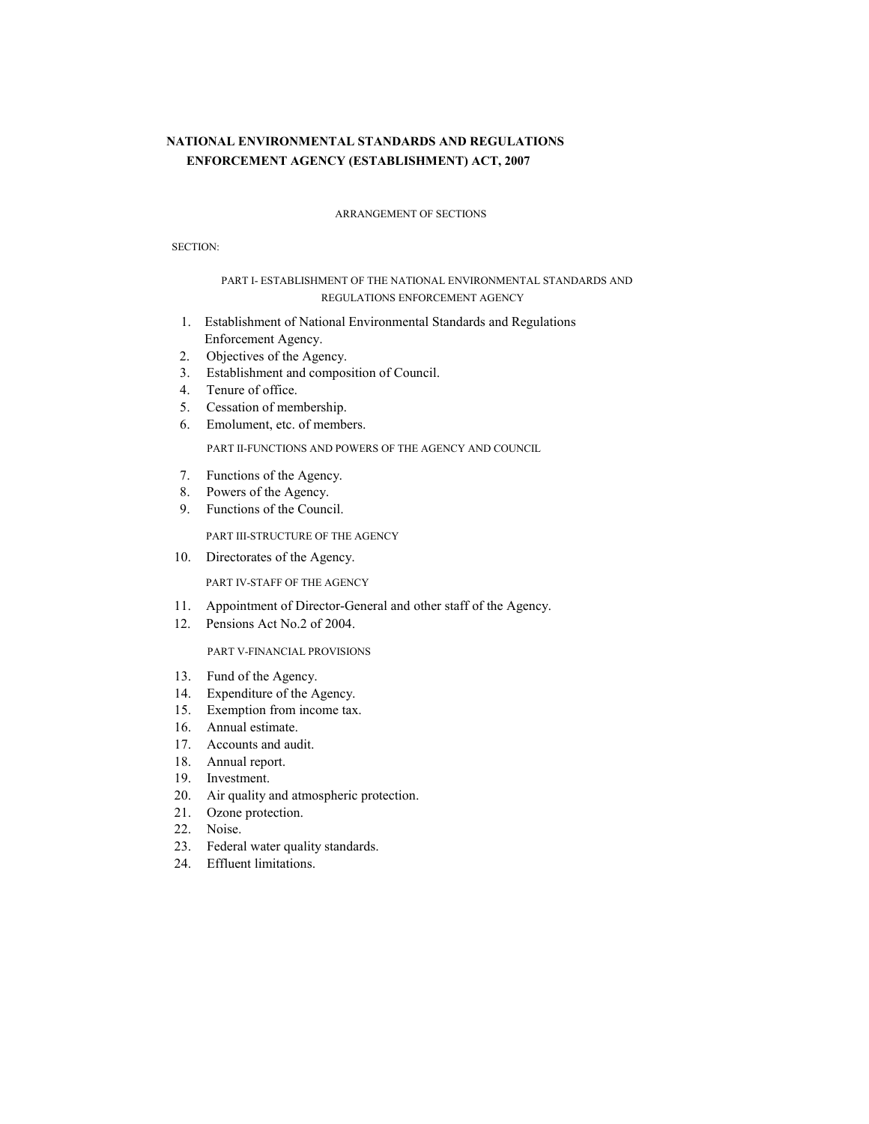# **NATIONAL ENVIRONMENTAL STANDARDS AND REGULATIONS ENFORCEMENT AGENCY (ESTABLISHMENT) ACT, 2007**

#### ARRANGEMENT OF SECTIONS

SECTION:

## PART I- ESTABLISHMENT OF THE NATIONAL ENVIRONMENTAL STANDARDS AND REGULATIONS ENFORCEMENT AGENCY

- 1. Establishment of National Environmental Standards and Regulations Enforcement Agency.
- 2. Objectives of the Agency.
- 3. Establishment and composition of Council.
- 4. Tenure of office.
- 5. Cessation of membership.
- 6. Emolument, etc. of members.

PART II-FUNCTIONS AND POWERS OF THE AGENCY AND COUNCIL

- 7. Functions of the Agency.
- 8. Powers of the Agency.
- 9. Functions of the Council.

PART III-STRUCTURE OF THE AGENCY

10. Directorates of the Agency.

PART IV-STAFF OF THE AGENCY

- 11. Appointment of Director-General and other staff of the Agency.
- 12. Pensions Act No.2 of 2004.

PART V-FINANCIAL PROVISIONS

- 13. Fund of the Agency.
- 14. Expenditure of the Agency.
- 15. Exemption from income tax.
- 16. Annual estimate.
- 17. Accounts and audit.
- 18. Annual report.
- 19. Investment.
- 20. Air quality and atmospheric protection.
- 21. Ozone protection.
- 22. Noise.
- 23. Federal water quality standards.
- 24. Effluent limitations.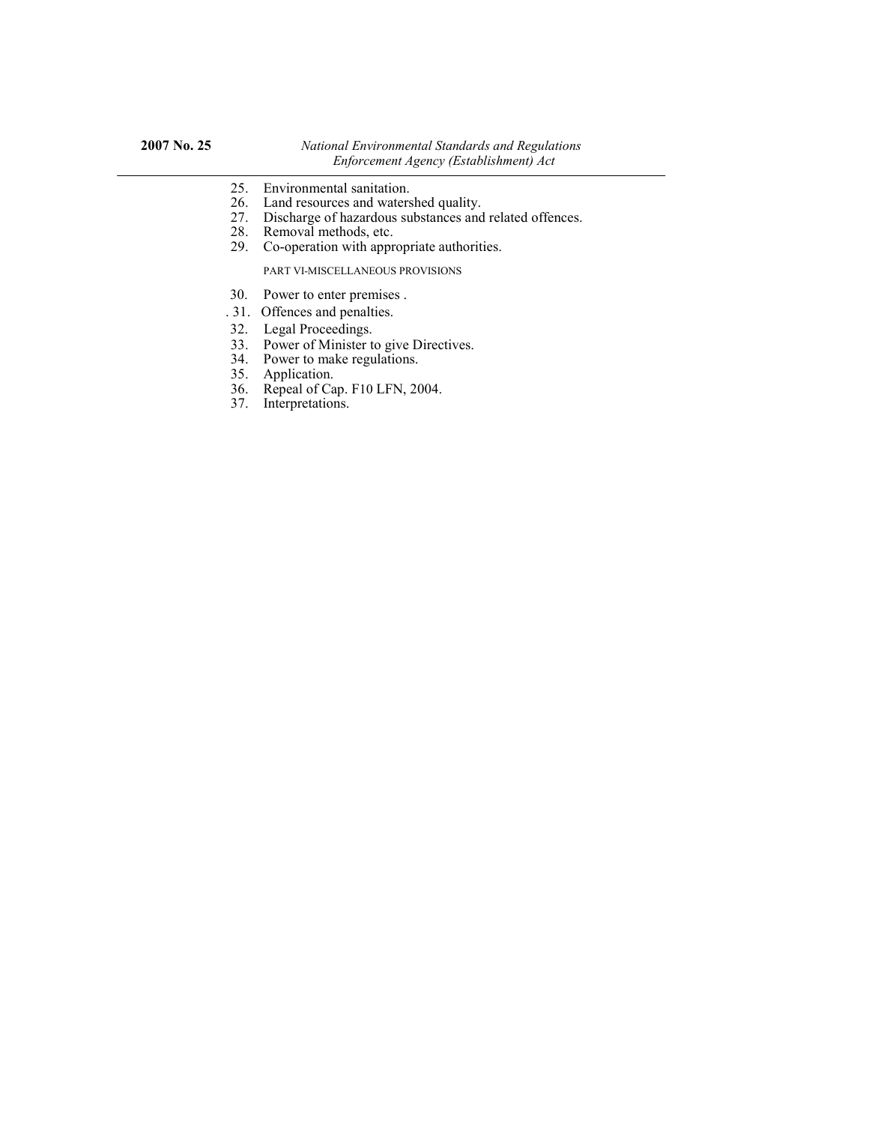- 25. Environmental sanitation.
- 26. Land resources and watershed quality.
- 27. Discharge of hazardous substances and related offences.
- 28. Removal methods, etc.
- 29. Co-operation with appropriate authorities.

PART VI-MISCELLANEOUS PROVISIONS

- 30. Power to enter premises .
- . 31. Offences and penalties.
- 32. Legal Proceedings.
- 33. Power of Minister to give Directives.
- 34. Power to make regulations.
- 35. Application.
- 36. Repeal of Cap. F10 LFN, 2004.
- 37. Interpretations.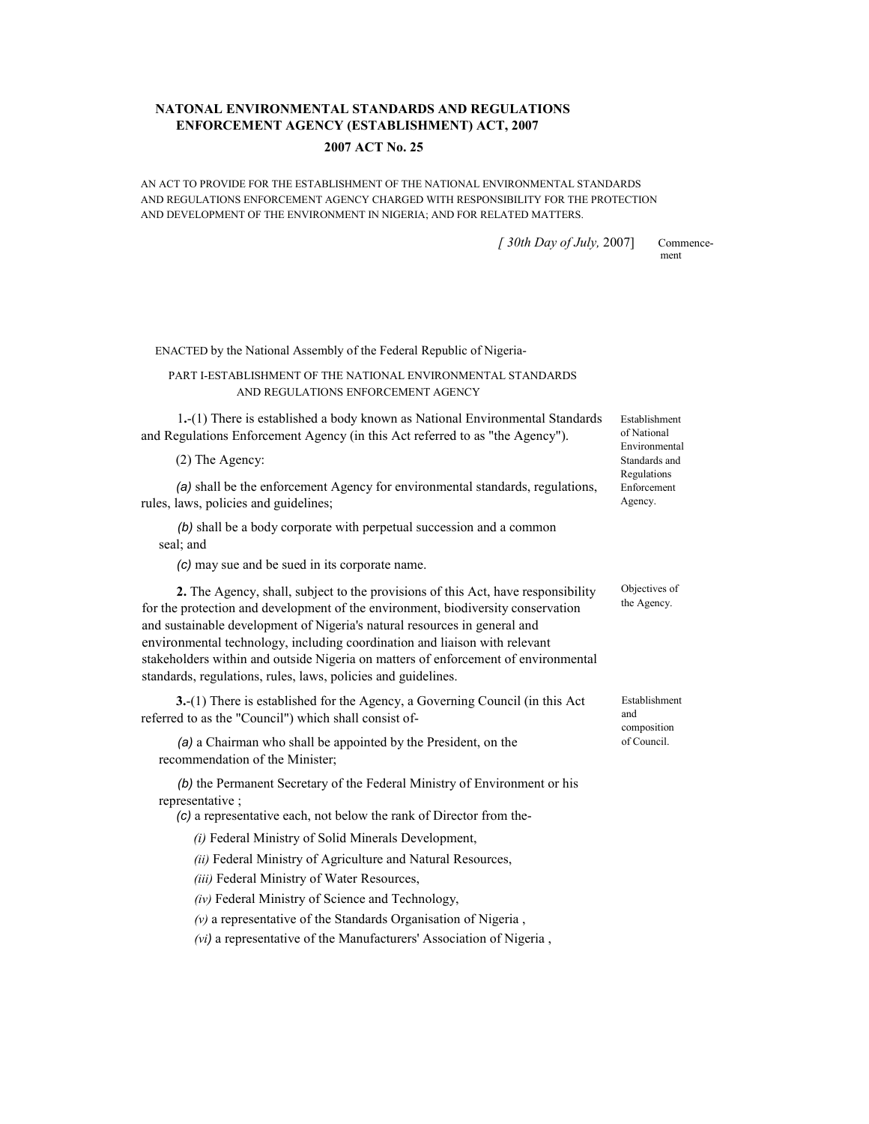## **NATONAL ENVIRONMENTAL STANDARDS AND REGULATIONS ENFORCEMENT AGENCY (ESTABLISHMENT) ACT, 2007**

### **2007 ACT No. 25**

AN ACT TO PROVIDE FOR THE ESTABLISHMENT OF THE NATIONAL ENVIRONMENTAL STANDARDS AND REGULATIONS ENFORCEMENT AGENCY CHARGED WITH RESPONSIBILITY FOR THE PROTECTION AND DEVELOPMENT OF THE ENVIRONMENT IN NIGERIA; AND FOR RELATED MATTERS.

*[ 30th Day of July,* 2007] Commence-

ment

ENACTED by the National Assembly of the Federal Republic of Nigeria-

### PART I-ESTABLISHMENT OF THE NATIONAL ENVIRONMENTAL STANDARDS AND REGULATIONS ENFORCEMENT AGENCY

1**.**-(1) There is established a body known as National Environmental Standards and Regulations Enforcement Agency (in this Act referred to as "the Agency").

(2) The Agency:

*(a)* shall be the enforcement Agency for environmental standards, regulations, rules, laws, policies and guidelines;

*(b)* shall be a body corporate with perpetual succession and a common seal; and

*(c)* may sue and be sued in its corporate name.

**2.** The Agency, shall, subject to the provisions of this Act, have responsibility for the protection and development of the environment, biodiversity conservation and sustainable development of Nigeria's natural resources in general and environmental technology, including coordination and liaison with relevant stakeholders within and outside Nigeria on matters of enforcement of environmental standards, regulations, rules, laws, policies and guidelines.

**3.**-(1) There is established for the Agency, a Governing Council (in this Act referred to as the "Council") which shall consist of-

*(a)* a Chairman who shall be appointed by the President, on the recommendation of the Minister;

*(b)* the Permanent Secretary of the Federal Ministry of Environment or his representative ;

*(c)* a representative each, not below the rank of Director from the-

*(i)* Federal Ministry of Solid Minerals Development,

*(ii)* Federal Ministry of Agriculture and Natural Resources,

*(iii)* Federal Ministry of Water Resources,

*(iv)* Federal Ministry of Science and Technology,

*(v)* a representative of the Standards Organisation of Nigeria ,

*(vi)* a representative of the Manufacturers' Association of Nigeria ,

Establishment of National Environmental Standards and Regulations Enforcement Agency.

Objectives of the Agency.

Establishment and composition of Council.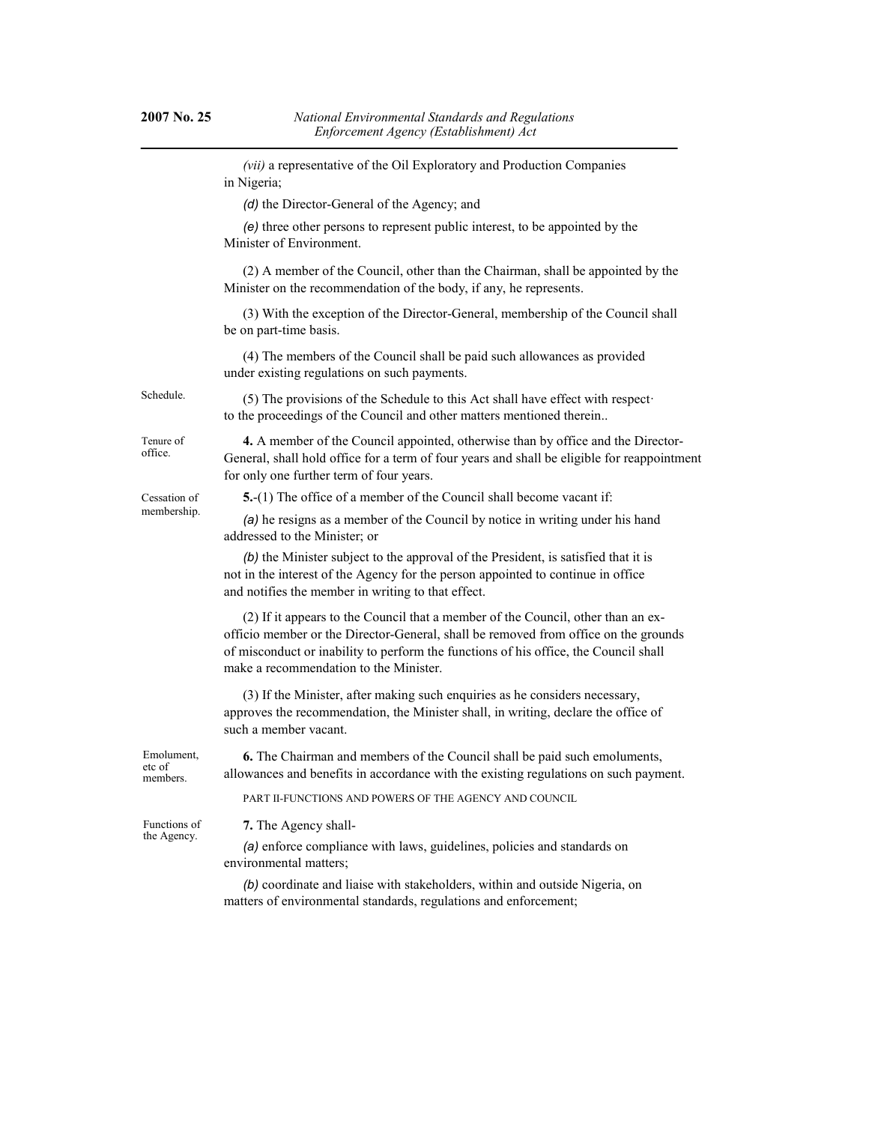*(vii)* a representative of the Oil Exploratory and Production Companies in Nigeria; *(d)* the Director-General of the Agency; and *(e)* three other persons to represent public interest, to be appointed by the Minister of Environment. (2) A member of the Council, other than the Chairman, shall be appointed by the Minister on the recommendation of the body, if any, he represents. (3) With the exception of the Director-General, membership of the Council shall be on part-time basis. (4) The members of the Council shall be paid such allowances as provided under existing regulations on such payments. (5) The provisions of the Schedule to this Act shall have effect with respect· to the proceedings of the Council and other matters mentioned therein.. **4.** A member of the Council appointed, otherwise than by office and the Director-General, shall hold office for a term of four years and shall be eligible for reappointment for only one further term of four years. **5.**-(1) The office of a member of the Council shall become vacant if: *(a)* he resigns as a member of the Council by notice in writing under his hand addressed to the Minister; or *(b)* the Minister subject to the approval of the President, is satisfied that it is not in the interest of the Agency for the person appointed to continue in office and notifies the member in writing to that effect. (2) If it appears to the Council that a member of the Council, other than an exofficio member or the Director-General, shall be removed from office on the grounds of misconduct or inability to perform the functions of his office, the Council shall make a recommendation to the Minister. (3) If the Minister, after making such enquiries as he considers necessary, approves the recommendation, the Minister shall, in writing, declare the office of such a member vacant. **6.** The Chairman and members of the Council shall be paid such emoluments, allowances and benefits in accordance with the existing regulations on such payment. PART II-FUNCTIONS AND POWERS OF THE AGENCY AND COUNCIL **7.** The Agency shall- *(a)* enforce compliance with laws, guidelines, policies and standards on environmental matters; Schedule. Tenure of office. Cessation of membership. Emolument, etc of members. Functions of the Agency.

> *(b)* coordinate and liaise with stakeholders, within and outside Nigeria, on matters of environmental standards, regulations and enforcement;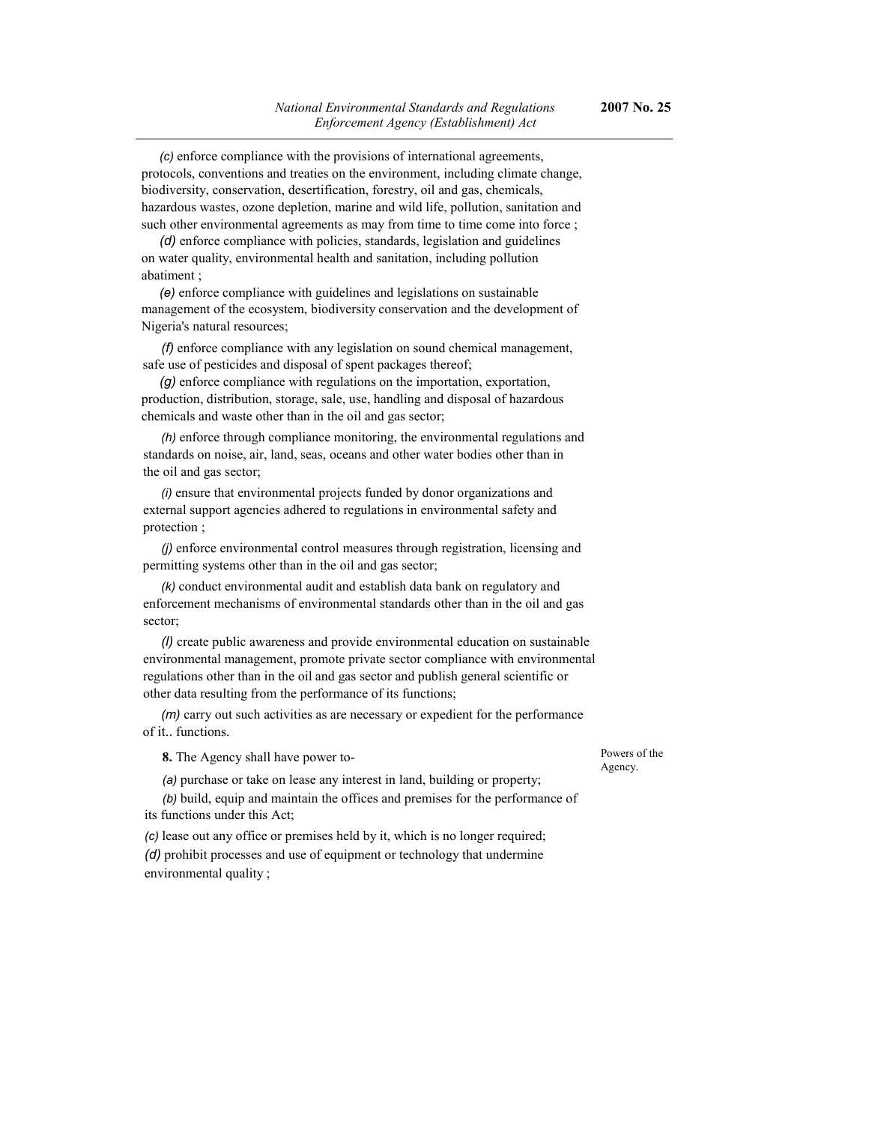protocols, conventions and treaties on the environment, including climate change, biodiversity, conservation, desertification, forestry, oil and gas, chemicals, hazardous wastes, ozone depletion, marine and wild life, pollution, sanitation and such other environmental agreements as may from time to time come into force ;

*(d)* enforce compliance with policies, standards, legislation and guidelines on water quality, environmental health and sanitation, including pollution abatiment ;

*(e)* enforce compliance with guidelines and legislations on sustainable management of the ecosystem, biodiversity conservation and the development of Nigeria's natural resources;

*(f)* enforce compliance with any legislation on sound chemical management, safe use of pesticides and disposal of spent packages thereof;

*(g)* enforce compliance with regulations on the importation, exportation, production, distribution, storage, sale, use, handling and disposal of hazardous chemicals and waste other than in the oil and gas sector;

*(h)* enforce through compliance monitoring, the environmental regulations and standards on noise, air, land, seas, oceans and other water bodies other than in the oil and gas sector;

*(i)* ensure that environmental projects funded by donor organizations and external support agencies adhered to regulations in environmental safety and protection ;

*(j)* enforce environmental control measures through registration, licensing and permitting systems other than in the oil and gas sector;

*(k)* conduct environmental audit and establish data bank on regulatory and enforcement mechanisms of environmental standards other than in the oil and gas sector;

*(l)* create public awareness and provide environmental education on sustainable environmental management, promote private sector compliance with environmental regulations other than in the oil and gas sector and publish general scientific or other data resulting from the performance of its functions;

*(m)* carry out such activities as are necessary or expedient for the performance of it.. functions.

**8.** The Agency shall have power to-

*(a)* purchase or take on lease any interest in land, building or property;

*(b)* build, equip and maintain the offices and premises for the performance of its functions under this Act;

*(c)* lease out any office or premises held by it, which is no longer required; *(d)* prohibit processes and use of equipment or technology that undermine environmental quality ;

Powers of the Agency.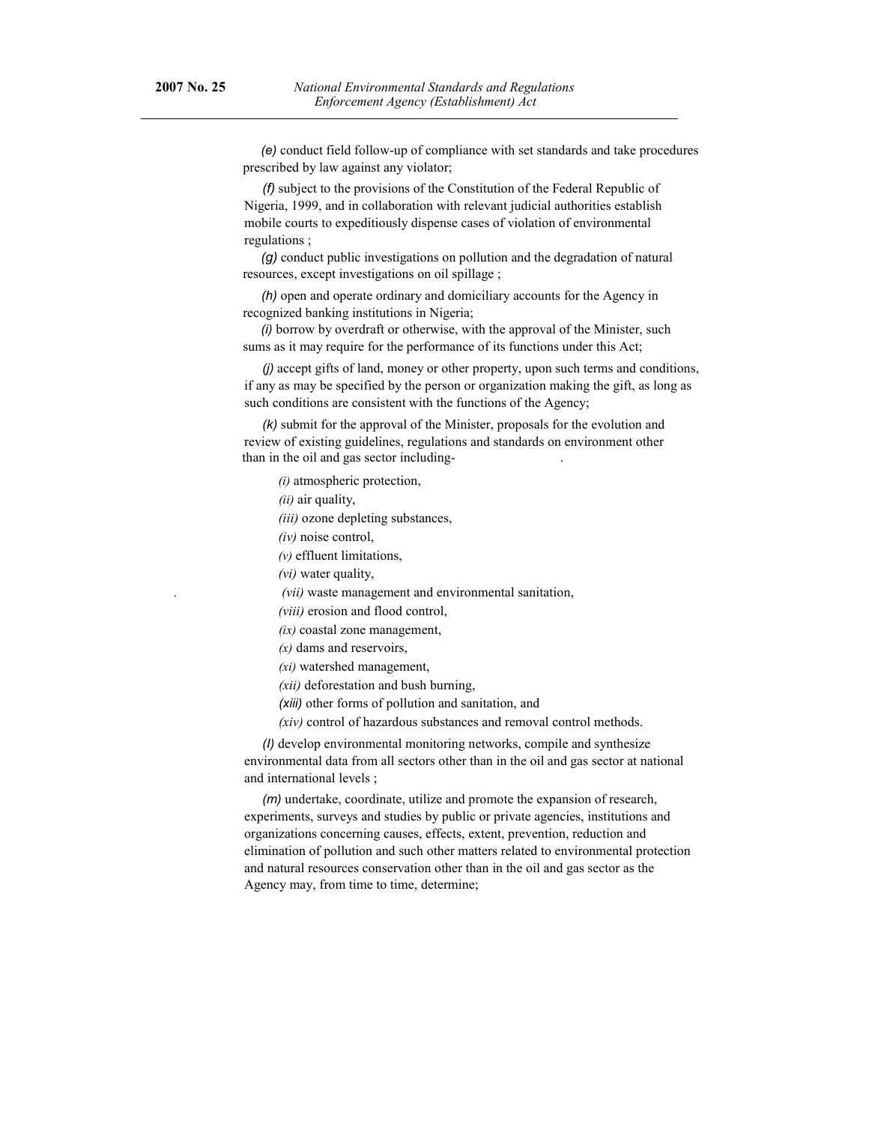*(e)* conduct field follow-up of compliance with set standards and take procedures prescribed by law against any violator;

*(f)* subject to the provisions of the Constitution of the Federal Republic of Nigeria, 1999, and in collaboration with relevant judicial authorities establish mobile courts to expeditiously dispense cases of violation of environmental regulations ;

*(g)* conduct public investigations on pollution and the degradation of natural resources, except investigations on oil spillage ;

*(h)* open and operate ordinary and domiciliary accounts for the Agency in recognized banking institutions in Nigeria;

*(i)* borrow by overdraft or otherwise, with the approval of the Minister, such sums as it may require for the performance of its functions under this Act;

*(j)* accept gifts of land, money or other property, upon such terms and conditions, if any as may be specified by the person or organization making the gift, as long as such conditions are consistent with the functions of the Agency;

*(k)* submit for the approval of the Minister, proposals for the evolution and review of existing guidelines, regulations and standards on environment other than in the oil and gas sector including- .

*(i)* atmospheric protection,

*(ii)* air quality,

*(iii)* ozone depleting substances,

*(iv)* noise control,

*(v)* effluent limitations,

*(vi)* water quality,

*. (vii)* waste management and environmental sanitation,

*(viii)* erosion and flood control,

*(ix)* coastal zone management,

*(x)* dams and reservoirs,

*(xi)* watershed management,

*(xii)* deforestation and bush burning,

*(xiii)* other forms of pollution and sanitation, and

*(xiv)* control of hazardous substances and removal control methods.

*(I)* develop environmental monitoring networks, compile and synthesize environmental data from all sectors other than in the oil and gas sector at national and international levels ;

*(m)* undertake, coordinate, utilize and promote the expansion of research, experiments, surveys and studies by public or private agencies, institutions and organizations concerning causes, effects, extent, prevention, reduction and elimination of pollution and such other matters related to environmental protection and natural resources conservation other than in the oil and gas sector as the Agency may, from time to time, determine;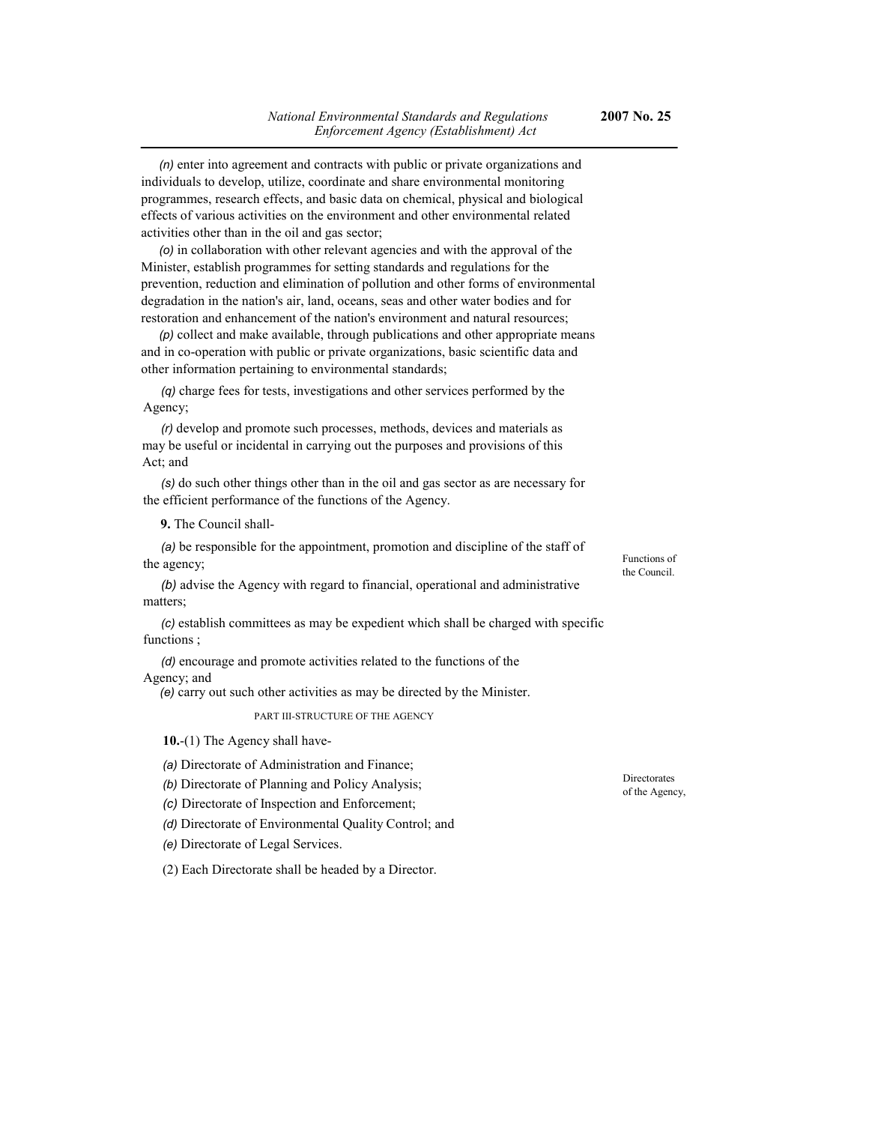*(n)* enter into agreement and contracts with public or private organizations and individuals to develop, utilize, coordinate and share environmental monitoring programmes, research effects, and basic data on chemical, physical and biological effects of various activities on the environment and other environmental related activities other than in the oil and gas sector;

*(o)* in collaboration with other relevant agencies and with the approval of the Minister, establish programmes for setting standards and regulations for the prevention, reduction and elimination of pollution and other forms of environmental degradation in the nation's air, land, oceans, seas and other water bodies and for restoration and enhancement of the nation's environment and natural resources;

*(p)* collect and make available, through publications and other appropriate means and in co-operation with public or private organizations, basic scientific data and other information pertaining to environmental standards;

*(q)* charge fees for tests, investigations and other services performed by the Agency;

*(r)* develop and promote such processes, methods, devices and materials as may be useful or incidental in carrying out the purposes and provisions of this Act; and

*(s)* do such other things other than in the oil and gas sector as are necessary for the efficient performance of the functions of the Agency.

**9.** The Council shall-

*(a)* be responsible for the appointment, promotion and discipline of the staff of the agency;

*(b)* advise the Agency with regard to financial, operational and administrative matters;

*(c)* establish committees as may be expedient which shall be charged with specific functions :

*(d)* encourage and promote activities related to the functions of the Agency; and

*(e)* carry out such other activities as may be directed by the Minister.

PART III-STRUCTURE OF THE AGENCY

**10.**-(1) The Agency shall have-

*(a)* Directorate of Administration and Finance;

*(b)* Directorate of Planning and Policy Analysis;

*(c)* Directorate of Inspection and Enforcement;

*(d)* Directorate of Environmental Quality Control; and

*(e)* Directorate of Legal Services.

(2) Each Directorate shall be headed by a Director.

Functions of the Council.

Directorates of the Agency,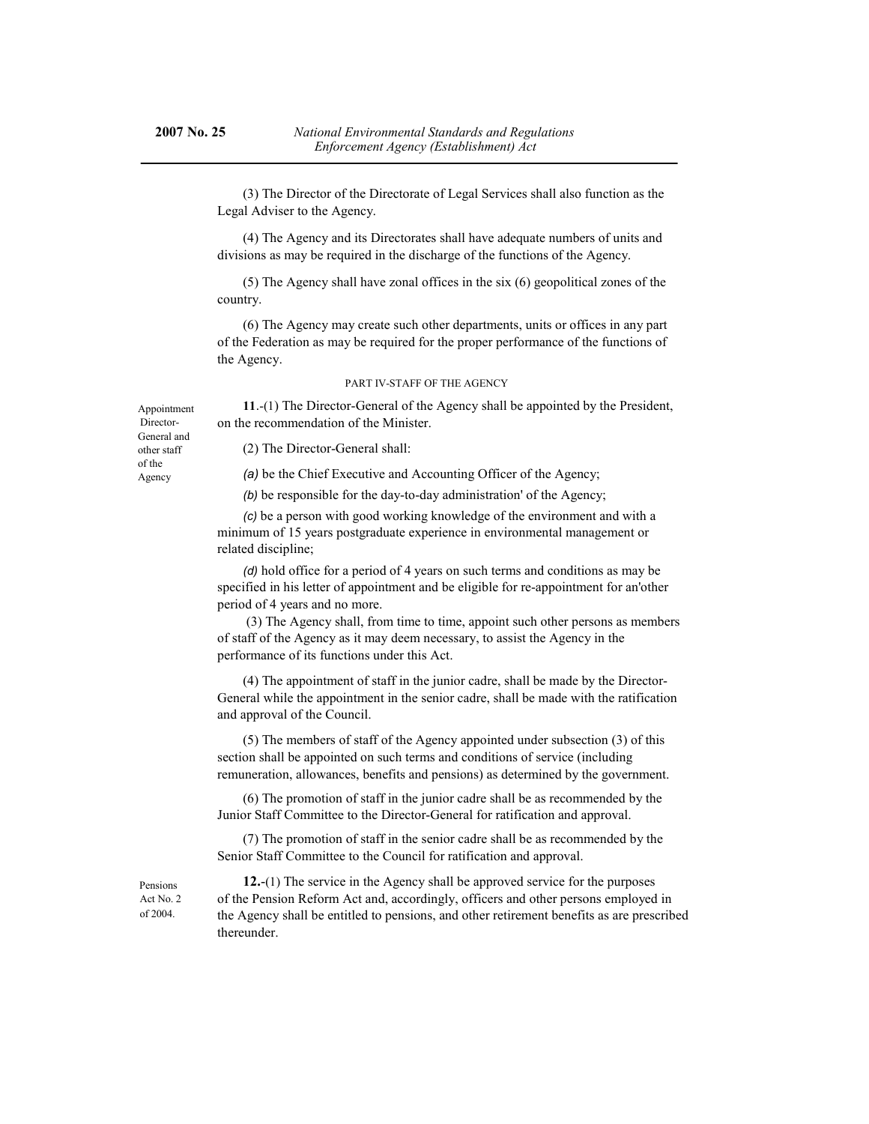(3) The Director of the Directorate of Legal Services shall also function as the Legal Adviser to the Agency.

(4) The Agency and its Directorates shall have adequate numbers of units and divisions as may be required in the discharge of the functions of the Agency.

(5) The Agency shall have zonal offices in the six (6) geopolitical zones of the country.

(6) The Agency may create such other departments, units or offices in any part of the Federation as may be required for the proper performance of the functions of the Agency.

#### PART IV-STAFF OF THE AGENCY

**11**.-(1) The Director-General of the Agency shall be appointed by the President, on the recommendation of the Minister.

Appointment Director-General and other staff of the Agency

(2) The Director-General shall:

*(a)* be the Chief Executive and Accounting Officer of the Agency;

*(b)* be responsible for the day-to-day administration' of the Agency;

*(c)* be a person with good working knowledge of the environment and with a minimum of 15 years postgraduate experience in environmental management or related discipline;

*(d)* hold office for a period of 4 years on such terms and conditions as may be specified in his letter of appointment and be eligible for re-appointment for an'other period of 4 years and no more.

 (3) The Agency shall, from time to time, appoint such other persons as members of staff of the Agency as it may deem necessary, to assist the Agency in the performance of its functions under this Act.

(4) The appointment of staff in the junior cadre, shall be made by the Director-General while the appointment in the senior cadre, shall be made with the ratification and approval of the Council.

(5) The members of staff of the Agency appointed under subsection (3) of this section shall be appointed on such terms and conditions of service (including remuneration, allowances, benefits and pensions) as determined by the government.

(6) The promotion of staff in the junior cadre shall be as recommended by the Junior Staff Committee to the Director-General for ratification and approval.

(7) The promotion of staff in the senior cadre shall be as recommended by the Senior Staff Committee to the Council for ratification and approval.

Pensions Act No. 2 of 2004.

**12.**-(1) The service in the Agency shall be approved service for the purposes of the Pension Reform Act and, accordingly, officers and other persons employed in the Agency shall be entitled to pensions, and other retirement benefits as are prescribed thereunder.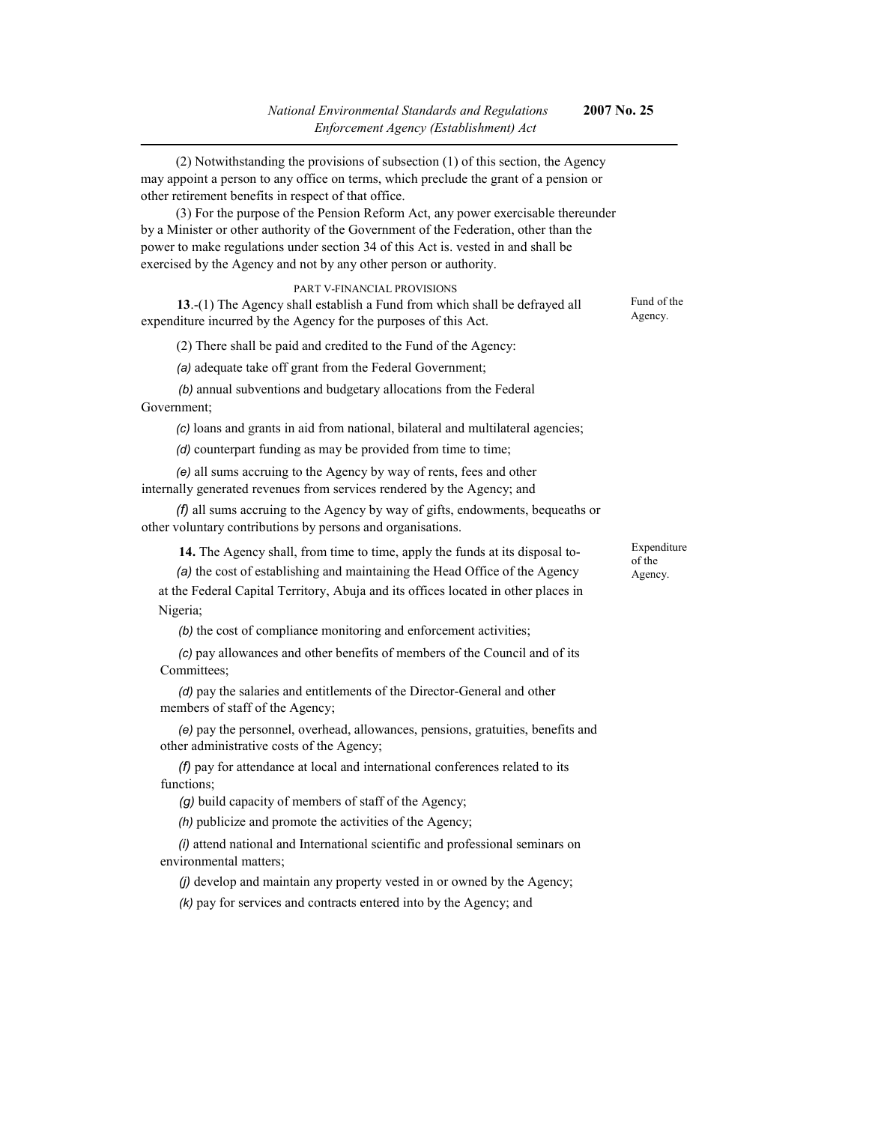(2) Notwithstanding the provisions of subsection (1) of this section, the Agency may appoint a person to any office on terms, which preclude the grant of a pension or other retirement benefits in respect of that office. (3) For the purpose of the Pension Reform Act, any power exercisable thereunder by a Minister or other authority of the Government of the Federation, other than the power to make regulations under section 34 of this Act is. vested in and shall be exercised by the Agency and not by any other person or authority. PART V-FINANCIAL PROVISIONS **13**.-(1) The Agency shall establish a Fund from which shall be defrayed all expenditure incurred by the Agency for the purposes of this Act. (2) There shall be paid and credited to the Fund of the Agency: *(a)* adequate take off grant from the Federal Government; *(b)* annual subventions and budgetary allocations from the Federal Government; *(c)* loans and grants in aid from national, bilateral and multilateral agencies; *(d)* counterpart funding as may be provided from time to time; *(e)* all sums accruing to the Agency by way of rents, fees and other internally generated revenues from services rendered by the Agency; and *(f)* all sums accruing to the Agency by way of gifts, endowments, bequeaths or other voluntary contributions by persons and organisations.  **14.** The Agency shall, from time to time, apply the funds at its disposal to- *(a)* the cost of establishing and maintaining the Head Office of the Agency at the Federal Capital Territory, Abuja and its offices located in other places in Nigeria; *(b)* the cost of compliance monitoring and enforcement activities; *(c)* pay allowances and other benefits of members of the Council and of its Committees; *(d)* pay the salaries and entitlements of the Director-General and other Fund of the Agency. Expenditure of the Agency.

members of staff of the Agency; *(e)* pay the personnel, overhead, allowances, pensions, gratuities, benefits and

other administrative costs of the Agency; *(f)* pay for attendance at local and international conferences related to its functions:

*(g)* build capacity of members of staff of the Agency;

*(h)* publicize and promote the activities of the Agency;

*(i)* attend national and International scientific and professional seminars on environmental matters;

*(j)* develop and maintain any property vested in or owned by the Agency;

*(k)* pay for services and contracts entered into by the Agency; and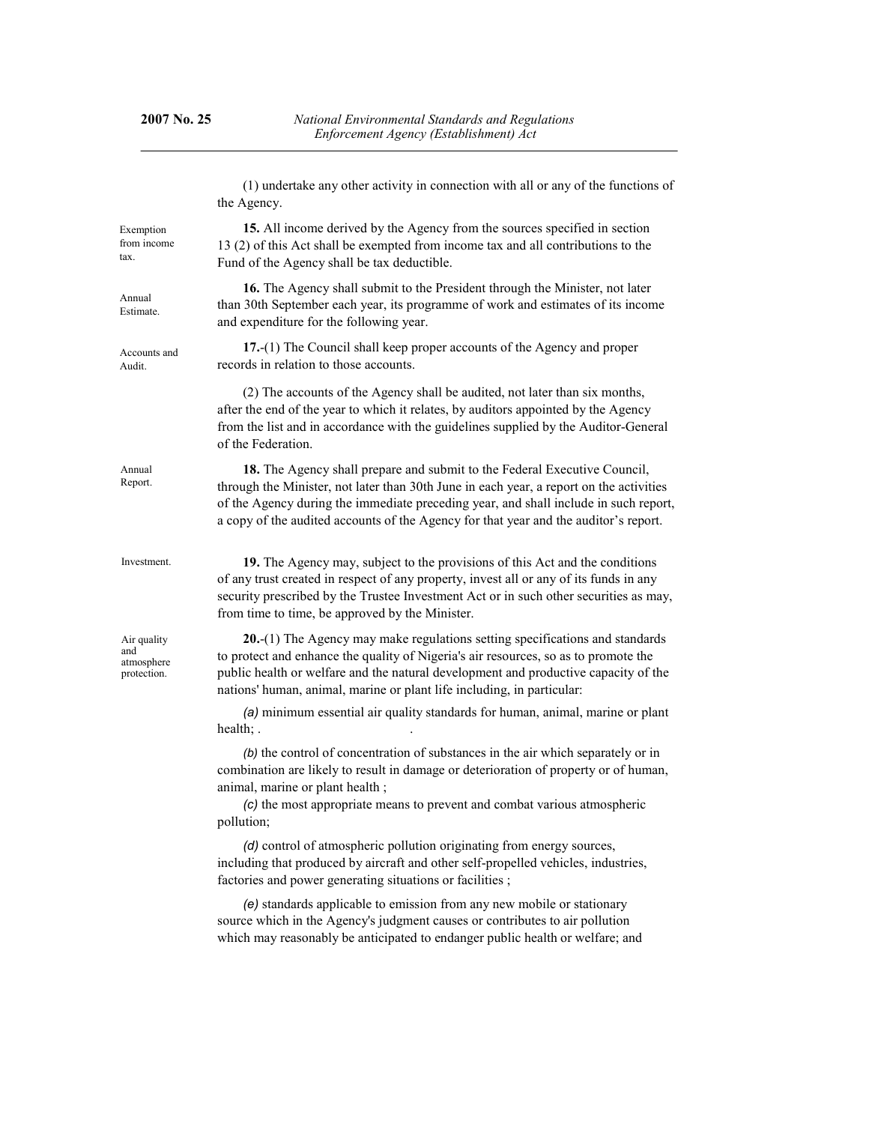|                                                 | (1) undertake any other activity in connection with all or any of the functions of<br>the Agency.                                                                                                                                                                                                                                                    |  |  |  |
|-------------------------------------------------|------------------------------------------------------------------------------------------------------------------------------------------------------------------------------------------------------------------------------------------------------------------------------------------------------------------------------------------------------|--|--|--|
| Exemption<br>from income<br>tax.                | 15. All income derived by the Agency from the sources specified in section<br>13 (2) of this Act shall be exempted from income tax and all contributions to the<br>Fund of the Agency shall be tax deductible.                                                                                                                                       |  |  |  |
| Annual<br>Estimate.                             | 16. The Agency shall submit to the President through the Minister, not later<br>than 30th September each year, its programme of work and estimates of its income<br>and expenditure for the following year.                                                                                                                                          |  |  |  |
| Accounts and<br>Audit.                          | 17.-(1) The Council shall keep proper accounts of the Agency and proper<br>records in relation to those accounts.                                                                                                                                                                                                                                    |  |  |  |
|                                                 | (2) The accounts of the Agency shall be audited, not later than six months,<br>after the end of the year to which it relates, by auditors appointed by the Agency<br>from the list and in accordance with the guidelines supplied by the Auditor-General<br>of the Federation.                                                                       |  |  |  |
| Annual<br>Report.                               | 18. The Agency shall prepare and submit to the Federal Executive Council,<br>through the Minister, not later than 30th June in each year, a report on the activities<br>of the Agency during the immediate preceding year, and shall include in such report,<br>a copy of the audited accounts of the Agency for that year and the auditor's report. |  |  |  |
| Investment.                                     | 19. The Agency may, subject to the provisions of this Act and the conditions<br>of any trust created in respect of any property, invest all or any of its funds in any<br>security prescribed by the Trustee Investment Act or in such other securities as may,<br>from time to time, be approved by the Minister.                                   |  |  |  |
| Air quality<br>and<br>atmosphere<br>protection. | $20-(1)$ The Agency may make regulations setting specifications and standards<br>to protect and enhance the quality of Nigeria's air resources, so as to promote the<br>public health or welfare and the natural development and productive capacity of the<br>nations' human, animal, marine or plant life including, in particular:                |  |  |  |
|                                                 | (a) minimum essential air quality standards for human, animal, marine or plant<br>health;                                                                                                                                                                                                                                                            |  |  |  |
|                                                 | (b) the control of concentration of substances in the air which separately or in<br>combination are likely to result in damage or deterioration of property or of human,<br>animal, marine or plant health;<br>(c) the most appropriate means to prevent and combat various atmospheric<br>pollution;                                                |  |  |  |
|                                                 | (d) control of atmospheric pollution originating from energy sources,<br>including that produced by aircraft and other self-propelled vehicles, industries,<br>factories and power generating situations or facilities;                                                                                                                              |  |  |  |
|                                                 | (e) standards applicable to emission from any new mobile or stationary<br>source which in the Agency's judgment causes or contributes to air pollution<br>which may reasonably be anticipated to endanger public health or welfare; and                                                                                                              |  |  |  |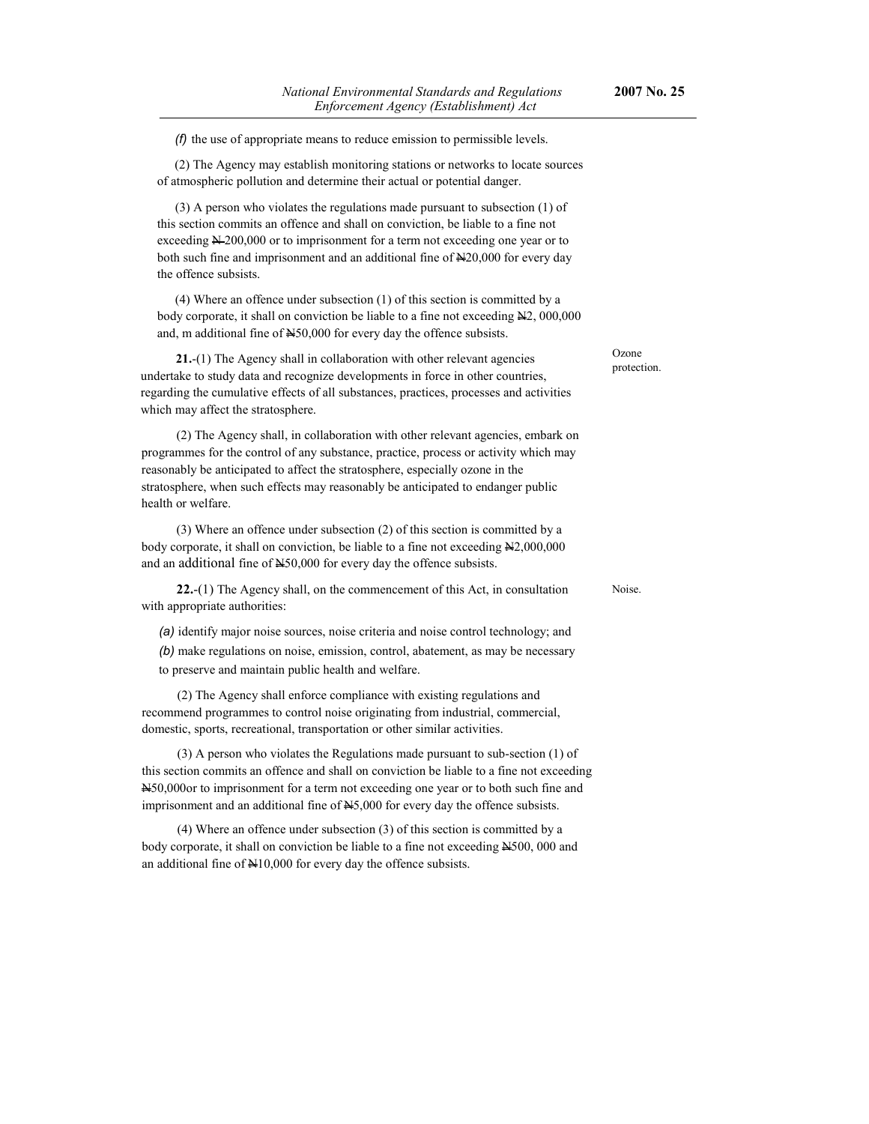*(f)* the use of appropriate means to reduce emission to permissible levels.

(2) The Agency may establish monitoring stations or networks to locate sources of atmospheric pollution and determine their actual or potential danger.

(3) A person who violates the regulations made pursuant to subsection (1) of this section commits an offence and shall on conviction, be liable to a fine not exceeding  $\cancel{\text{N}200,000}$  or to imprisonment for a term not exceeding one year or to both such fine and imprisonment and an additional fine of N20,000 for every day the offence subsists.

(4) Where an offence under subsection (1) of this section is committed by a body corporate, it shall on conviction be liable to a fine not exceeding N2, 000,000 and, m additional fine of  $\text{H50,000}$  for every day the offence subsists.

**21.**-(1) The Agency shall in collaboration with other relevant agencies undertake to study data and recognize developments in force in other countries, regarding the cumulative effects of all substances, practices, processes and activities which may affect the stratosphere.

(2) The Agency shall, in collaboration with other relevant agencies, embark on programmes for the control of any substance, practice, process or activity which may reasonably be anticipated to affect the stratosphere, especially ozone in the stratosphere, when such effects may reasonably be anticipated to endanger public health or welfare.

(3) Where an offence under subsection (2) of this section is committed by a body corporate, it shall on conviction, be liable to a fine not exceeding  $N2,000,000$ and an additional fine of  $\text{H}_250,000$  for every day the offence subsists.

**22.**-(1) The Agency shall, on the commencement of this Act, in consultation with appropriate authorities:

*(a)* identify major noise sources, noise criteria and noise control technology; and *(b)* make regulations on noise, emission, control, abatement, as may be necessary to preserve and maintain public health and welfare.

(2) The Agency shall enforce compliance with existing regulations and recommend programmes to control noise originating from industrial, commercial, domestic, sports, recreational, transportation or other similar activities.

(3) A person who violates the Regulations made pursuant to sub-section (1) of this section commits an offence and shall on conviction be liable to a fine not exceeding N50,000or to imprisonment for a term not exceeding one year or to both such fine and imprisonment and an additional fine of N5,000 for every day the offence subsists.

(4) Where an offence under subsection (3) of this section is committed by a body corporate, it shall on conviction be liable to a fine not exceeding N500, 000 and an additional fine of N10,000 for every day the offence subsists.

**Ozone** protection.

Noise.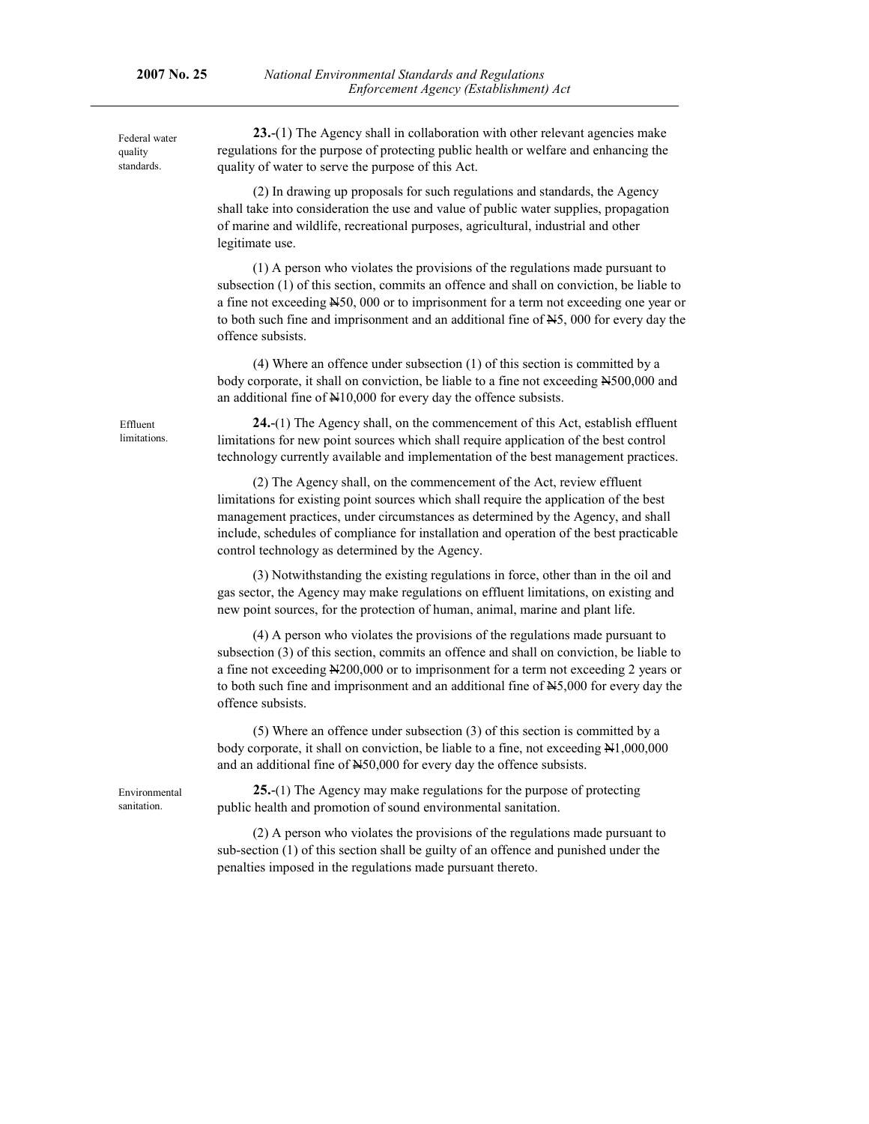Federal water quality standards.

**23.**-(1) The Agency shall in collaboration with other relevant agencies make regulations for the purpose of protecting public health or welfare and enhancing the quality of water to serve the purpose of this Act.

(2) In drawing up proposals for such regulations and standards, the Agency shall take into consideration the use and value of public water supplies, propagation of marine and wildlife, recreational purposes, agricultural, industrial and other legitimate use.

(1) A person who violates the provisions of the regulations made pursuant to subsection (1) of this section, commits an offence and shall on conviction, be liable to a fine not exceeding N50, 000 or to imprisonment for a term not exceeding one year or to both such fine and imprisonment and an additional fine of  $\text{H}_5$ , 000 for every day the offence subsists.

(4) Where an offence under subsection (1) of this section is committed by a body corporate, it shall on conviction, be liable to a fine not exceeding N500,000 and an additional fine of N10,000 for every day the offence subsists.

**24.**-(1) The Agency shall, on the commencement of this Act, establish effluent limitations for new point sources which shall require application of the best control technology currently available and implementation of the best management practices.

(2) The Agency shall, on the commencement of the Act, review effluent limitations for existing point sources which shall require the application of the best management practices, under circumstances as determined by the Agency, and shall include, schedules of compliance for installation and operation of the best practicable control technology as determined by the Agency.

(3) Notwithstanding the existing regulations in force, other than in the oil and gas sector, the Agency may make regulations on effluent limitations, on existing and new point sources, for the protection of human, animal, marine and plant life.

(4) A person who violates the provisions of the regulations made pursuant to subsection (3) of this section, commits an offence and shall on conviction, be liable to a fine not exceeding N200,000 or to imprisonment for a term not exceeding 2 years or to both such fine and imprisonment and an additional fine of  $N5,000$  for every day the offence subsists.

(5) Where an offence under subsection (3) of this section is committed by a body corporate, it shall on conviction, be liable to a fine, not exceeding  $N1,000,000$ and an additional fine of N50,000 for every day the offence subsists.

Environmental sanitation.

**25.**-(1) The Agency may make regulations for the purpose of protecting public health and promotion of sound environmental sanitation.

(2) A person who violates the provisions of the regulations made pursuant to sub-section (1) of this section shall be guilty of an offence and punished under the penalties imposed in the regulations made pursuant thereto.

Effluent limitations.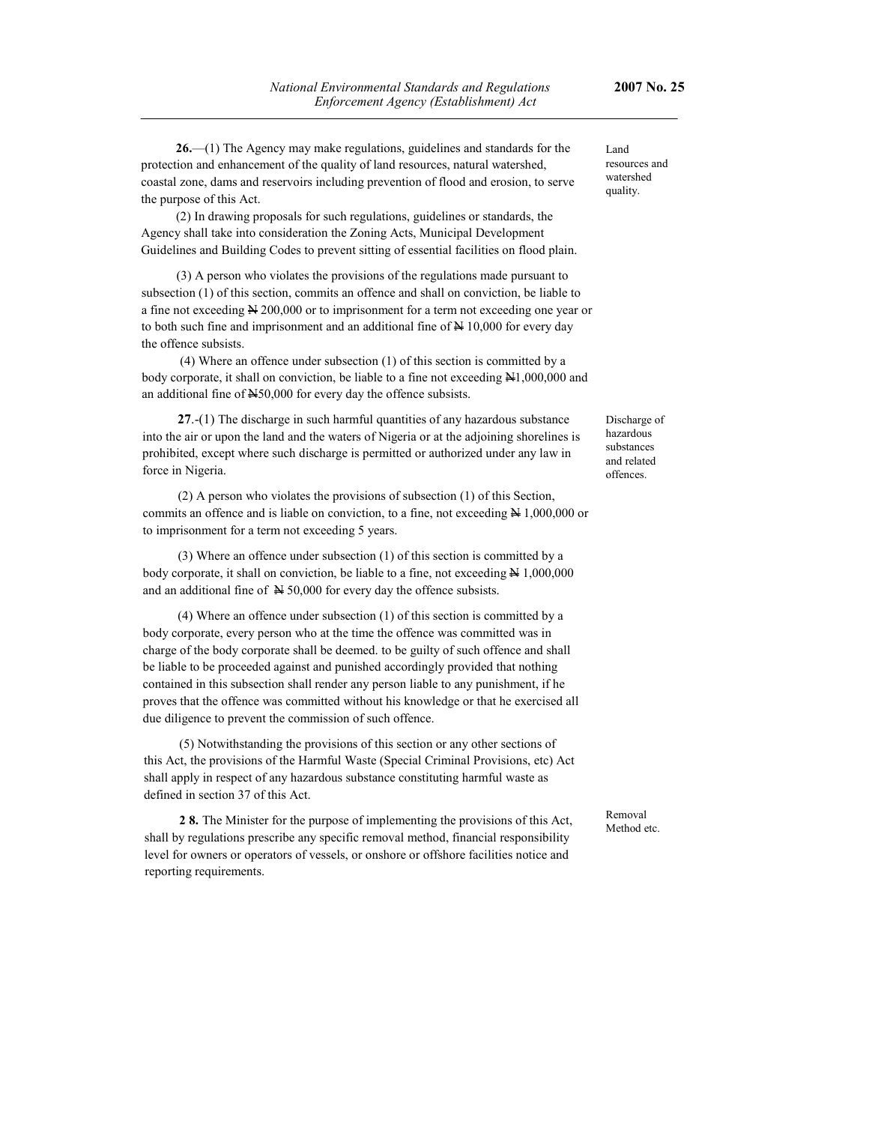**26.**—(1) The Agency may make regulations, guidelines and standards for the protection and enhancement of the quality of land resources, natural watershed, coastal zone, dams and reservoirs including prevention of flood and erosion, to serve the purpose of this Act.

(2) In drawing proposals for such regulations, guidelines or standards, the Agency shall take into consideration the Zoning Acts, Municipal Development Guidelines and Building Codes to prevent sitting of essential facilities on flood plain.

(3) A person who violates the provisions of the regulations made pursuant to subsection (1) of this section, commits an offence and shall on conviction, be liable to a fine not exceeding  $\cancel{\text{N}}$  200,000 or to imprisonment for a term not exceeding one year or to both such fine and imprisonment and an additional fine of  $\cancel{\text{A}}$  10,000 for every day the offence subsists.

 (4) Where an offence under subsection (1) of this section is committed by a body corporate, it shall on conviction, be liable to a fine not exceeding  $\mathbb{H}1,000,000$  and an additional fine of N50,000 for every day the offence subsists.

**27**.-(1) The discharge in such harmful quantities of any hazardous substance into the air or upon the land and the waters of Nigeria or at the adjoining shorelines is prohibited, except where such discharge is permitted or authorized under any law in force in Nigeria.

(2) A person who violates the provisions of subsection (1) of this Section, commits an offence and is liable on conviction, to a fine, not exceeding N 1,000,000 or to imprisonment for a term not exceeding 5 years.

(3) Where an offence under subsection (1) of this section is committed by a body corporate, it shall on conviction, be liable to a fine, not exceeding  $\cancel{\text{N}}$  1,000,000 and an additional fine of  $\cancel{\text{N}}$  50,000 for every day the offence subsists.

(4) Where an offence under subsection (1) of this section is committed by a body corporate, every person who at the time the offence was committed was in charge of the body corporate shall be deemed. to be guilty of such offence and shall be liable to be proceeded against and punished accordingly provided that nothing contained in this subsection shall render any person liable to any punishment, if he proves that the offence was committed without his knowledge or that he exercised all due diligence to prevent the commission of such offence.

(5) Notwithstanding the provisions of this section or any other sections of this Act, the provisions of the Harmful Waste (Special Criminal Provisions, etc) Act shall apply in respect of any hazardous substance constituting harmful waste as defined in section 37 of this Act.

**2 8.** The Minister for the purpose of implementing the provisions of this Act, shall by regulations prescribe any specific removal method, financial responsibility level for owners or operators of vessels, or onshore or offshore facilities notice and reporting requirements.

Land resources and watershed quality.

Discharge of hazardous substances and related offences.

Removal Method etc.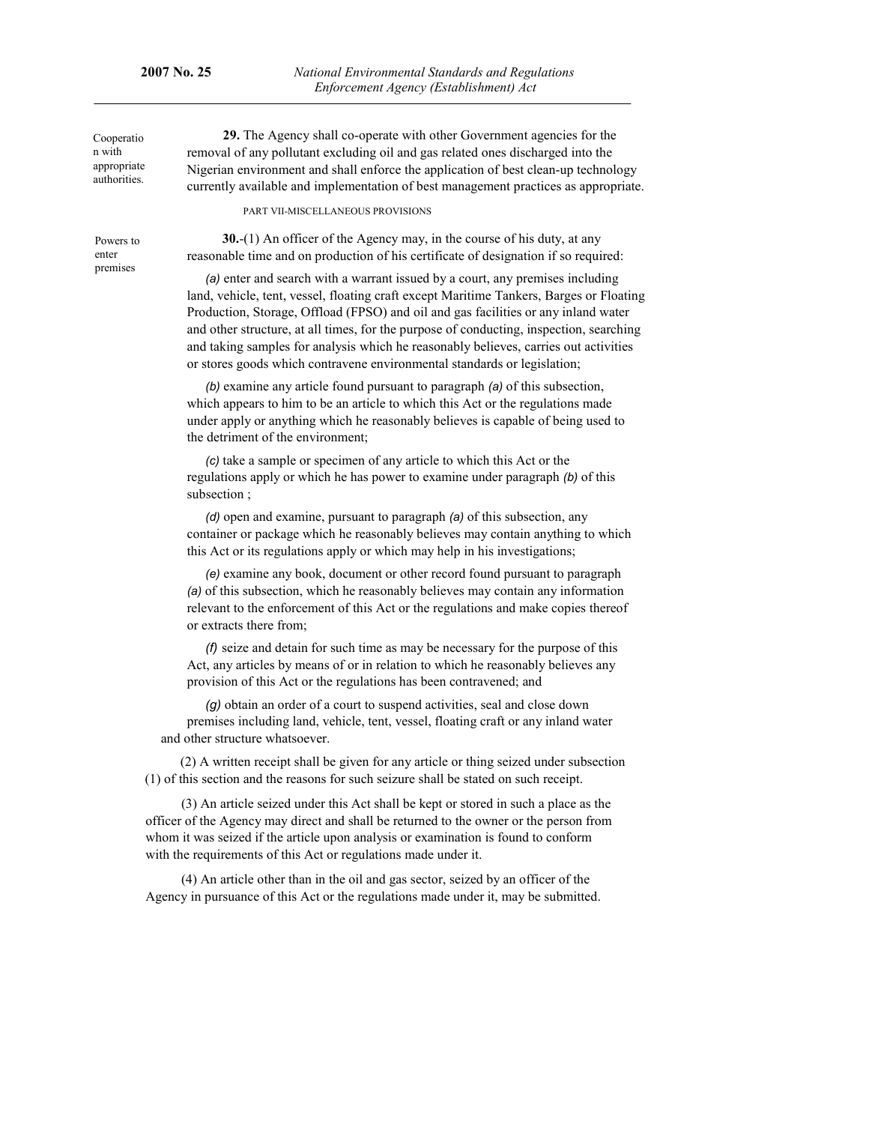Cooperatio n with appropriate authorities.

Powers to enter premises

**29.** The Agency shall co-operate with other Government agencies for the removal of any pollutant excluding oil and gas related ones discharged into the Nigerian environment and shall enforce the application of best clean-up technology currently available and implementation of best management practices as appropriate.

PART VII-MISCELLANEOUS PROVISIONS

**30.**-(1) An officer of the Agency may, in the course of his duty, at any reasonable time and on production of his certificate of designation if so required:

*(a)* enter and search with a warrant issued by a court, any premises including land, vehicle, tent, vessel, floating craft except Maritime Tankers, Barges or Floating Production, Storage, Offload (FPSO) and oil and gas facilities or any inland water and other structure, at all times, for the purpose of conducting, inspection, searching and taking samples for analysis which he reasonably believes, carries out activities or stores goods which contravene environmental standards or legislation;

*(b)* examine any article found pursuant to paragraph *(a)* of this subsection, which appears to him to be an article to which this Act or the regulations made under apply or anything which he reasonably believes is capable of being used to the detriment of the environment;

*(c)* take a sample or specimen of any article to which this Act or the regulations apply or which he has power to examine under paragraph *(b)* of this subsection ;

*(d)* open and examine, pursuant to paragraph *(a)* of this subsection, any container or package which he reasonably believes may contain anything to which this Act or its regulations apply or which may help in his investigations;

*(e)* examine any book, document or other record found pursuant to paragraph *(a)* of this subsection, which he reasonably believes may contain any information relevant to the enforcement of this Act or the regulations and make copies thereof or extracts there from;

*(f)* seize and detain for such time as may be necessary for the purpose of this Act, any articles by means of or in relation to which he reasonably believes any provision of this Act or the regulations has been contravened; and

*(g)* obtain an order of a court to suspend activities, seal and close down premises including land, vehicle, tent, vessel, floating craft or any inland water and other structure whatsoever.

(2) A written receipt shall be given for any article or thing seized under subsection (1) of this section and the reasons for such seizure shall be stated on such receipt.

(3) An article seized under this Act shall be kept or stored in such a place as the officer of the Agency may direct and shall be returned to the owner or the person from whom it was seized if the article upon analysis or examination is found to conform with the requirements of this Act or regulations made under it.

(4) An article other than in the oil and gas sector, seized by an officer of the Agency in pursuance of this Act or the regulations made under it, may be submitted.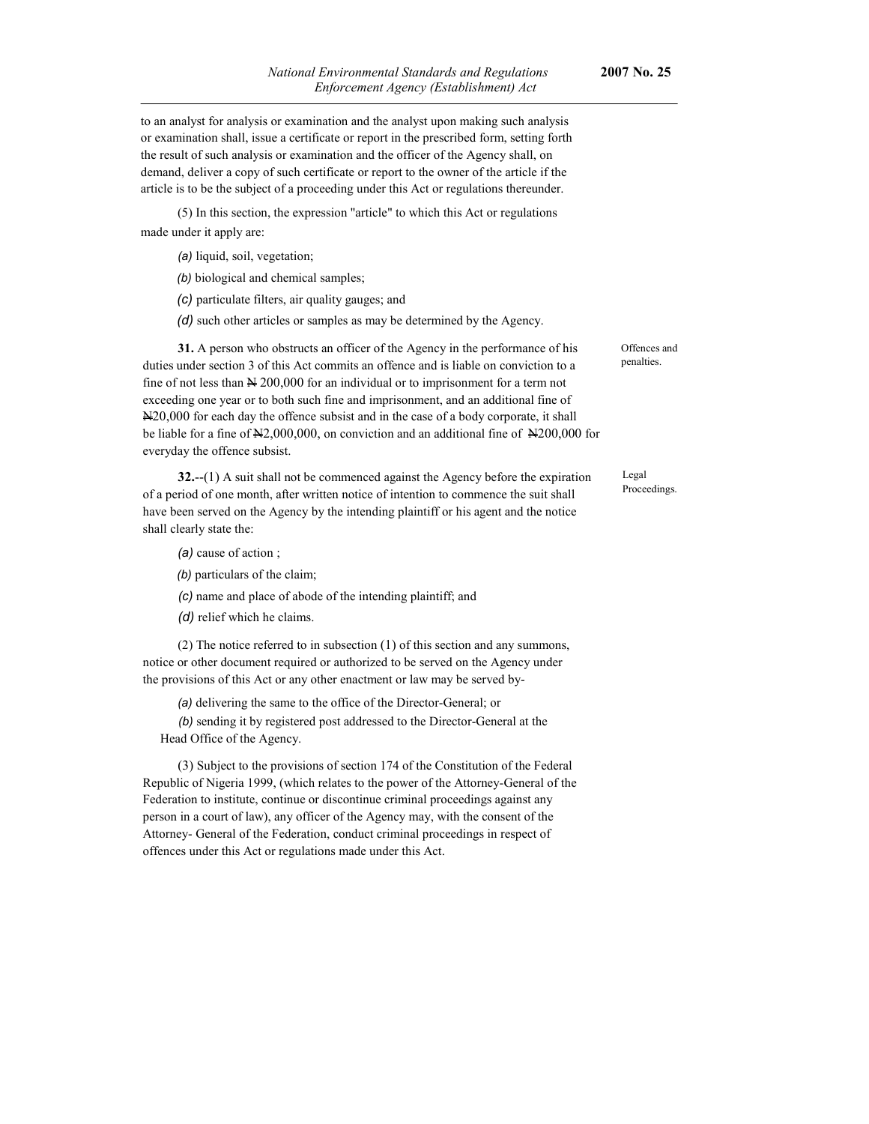to an analyst for analysis or examination and the analyst upon making such analysis or examination shall, issue a certificate or report in the prescribed form, setting forth the result of such analysis or examination and the officer of the Agency shall, on demand, deliver a copy of such certificate or report to the owner of the article if the article is to be the subject of a proceeding under this Act or regulations thereunder.

(5) In this section, the expression "article" to which this Act or regulations made under it apply are:

*(a)* liquid, soil, vegetation;

*(b)* biological and chemical samples;

*(c)* particulate filters, air quality gauges; and

*(d)* such other articles or samples as may be determined by the Agency.

**31.** A person who obstructs an officer of the Agency in the performance of his duties under section 3 of this Act commits an offence and is liable on conviction to a fine of not less than  $\cancel{\text{N}}$  200,000 for an individual or to imprisonment for a term not exceeding one year or to both such fine and imprisonment, and an additional fine of N20,000 for each day the offence subsist and in the case of a body corporate, it shall be liable for a fine of  $\frac{N}{2,000,000}$ , on conviction and an additional fine of  $\frac{N}{200,000}$  for everyday the offence subsist.

**32.**--(1) A suit shall not be commenced against the Agency before the expiration of a period of one month, after written notice of intention to commence the suit shall have been served on the Agency by the intending plaintiff or his agent and the notice shall clearly state the:

*(a)* cause of action ;

*(b)* particulars of the claim;

*(c)* name and place of abode of the intending plaintiff; and

*(d)* relief which he claims.

(2) The notice referred to in subsection (1) of this section and any summons, notice or other document required or authorized to be served on the Agency under the provisions of this Act or any other enactment or law may be served by-

*(a)* delivering the same to the office of the Director-General; or

*(b)* sending it by registered post addressed to the Director-General at the Head Office of the Agency.

(3) Subject to the provisions of section 174 of the Constitution of the Federal Republic of Nigeria 1999, (which relates to the power of the Attorney-General of the Federation to institute, continue or discontinue criminal proceedings against any person in a court of law), any officer of the Agency may, with the consent of the Attorney- General of the Federation, conduct criminal proceedings in respect of offences under this Act or regulations made under this Act.

Offences and penalties.

Legal Proceedings.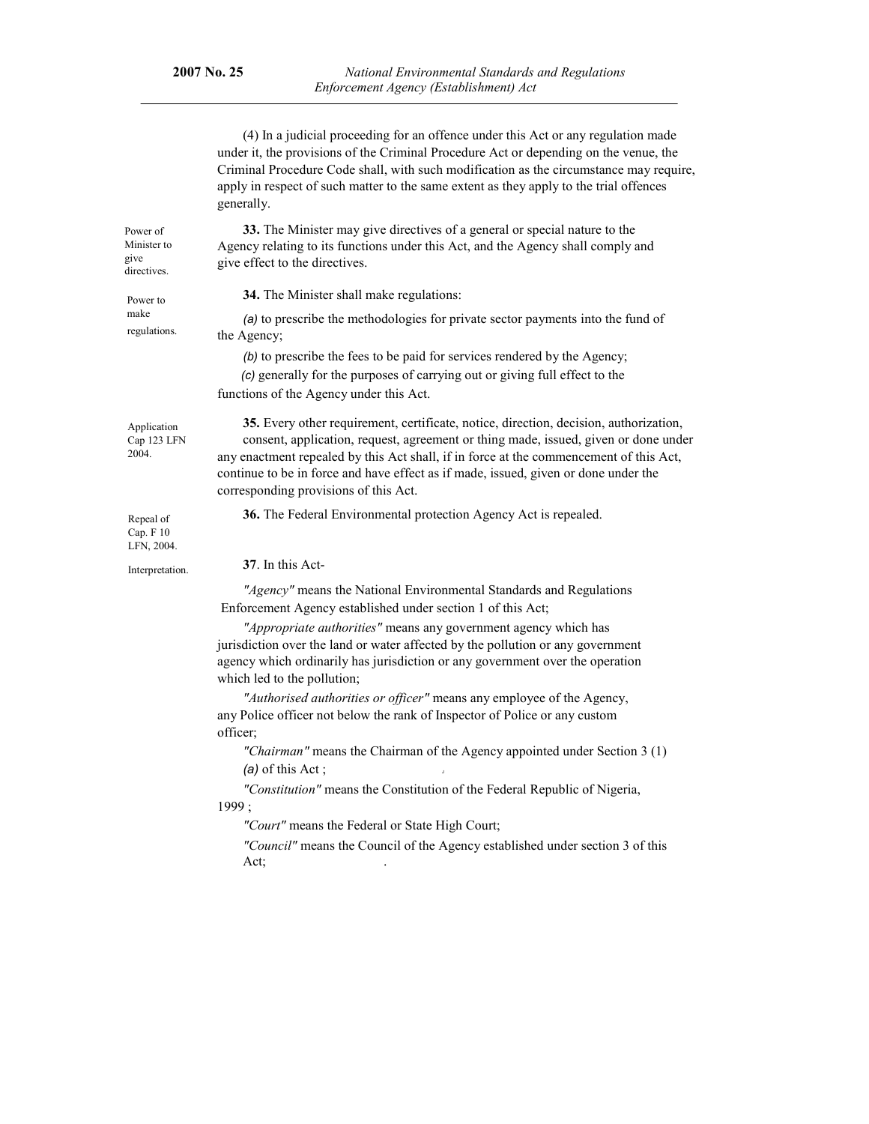|                                                | (4) In a judicial proceeding for an offence under this Act or any regulation made<br>under it, the provisions of the Criminal Procedure Act or depending on the venue, the<br>Criminal Procedure Code shall, with such modification as the circumstance may require,<br>apply in respect of such matter to the same extent as they apply to the trial offences<br>generally.                           |  |  |  |
|------------------------------------------------|--------------------------------------------------------------------------------------------------------------------------------------------------------------------------------------------------------------------------------------------------------------------------------------------------------------------------------------------------------------------------------------------------------|--|--|--|
| Power of<br>Minister to<br>give<br>directives. | 33. The Minister may give directives of a general or special nature to the<br>Agency relating to its functions under this Act, and the Agency shall comply and<br>give effect to the directives.                                                                                                                                                                                                       |  |  |  |
| Power to<br>make<br>regulations.               | 34. The Minister shall make regulations:                                                                                                                                                                                                                                                                                                                                                               |  |  |  |
|                                                | (a) to prescribe the methodologies for private sector payments into the fund of<br>the Agency;                                                                                                                                                                                                                                                                                                         |  |  |  |
|                                                | (b) to prescribe the fees to be paid for services rendered by the Agency;                                                                                                                                                                                                                                                                                                                              |  |  |  |
|                                                | (c) generally for the purposes of carrying out or giving full effect to the<br>functions of the Agency under this Act.                                                                                                                                                                                                                                                                                 |  |  |  |
| Application<br>Cap 123 LFN<br>2004.            | 35. Every other requirement, certificate, notice, direction, decision, authorization,<br>consent, application, request, agreement or thing made, issued, given or done under<br>any enactment repealed by this Act shall, if in force at the commencement of this Act,<br>continue to be in force and have effect as if made, issued, given or done under the<br>corresponding provisions of this Act. |  |  |  |
| Repeal of<br>Cap. F 10<br>LFN, 2004.           | 36. The Federal Environmental protection Agency Act is repealed.                                                                                                                                                                                                                                                                                                                                       |  |  |  |
| Interpretation.                                | 37. In this Act-                                                                                                                                                                                                                                                                                                                                                                                       |  |  |  |
|                                                | "Agency" means the National Environmental Standards and Regulations<br>Enforcement Agency established under section 1 of this Act;                                                                                                                                                                                                                                                                     |  |  |  |
|                                                | "Appropriate authorities" means any government agency which has<br>jurisdiction over the land or water affected by the pollution or any government<br>agency which ordinarily has jurisdiction or any government over the operation<br>which led to the pollution;                                                                                                                                     |  |  |  |
|                                                | "Authorised authorities or officer" means any employee of the Agency,<br>any Police officer not below the rank of Inspector of Police or any custom<br>officer;                                                                                                                                                                                                                                        |  |  |  |
|                                                | "Chairman" means the Chairman of the Agency appointed under Section 3 (1)<br>$(a)$ of this Act;                                                                                                                                                                                                                                                                                                        |  |  |  |
|                                                | "Constitution" means the Constitution of the Federal Republic of Nigeria,<br>1999;                                                                                                                                                                                                                                                                                                                     |  |  |  |
|                                                | "Court" means the Federal or State High Court;                                                                                                                                                                                                                                                                                                                                                         |  |  |  |
|                                                | "Council" means the Council of the Agency established under section 3 of this<br>Act;                                                                                                                                                                                                                                                                                                                  |  |  |  |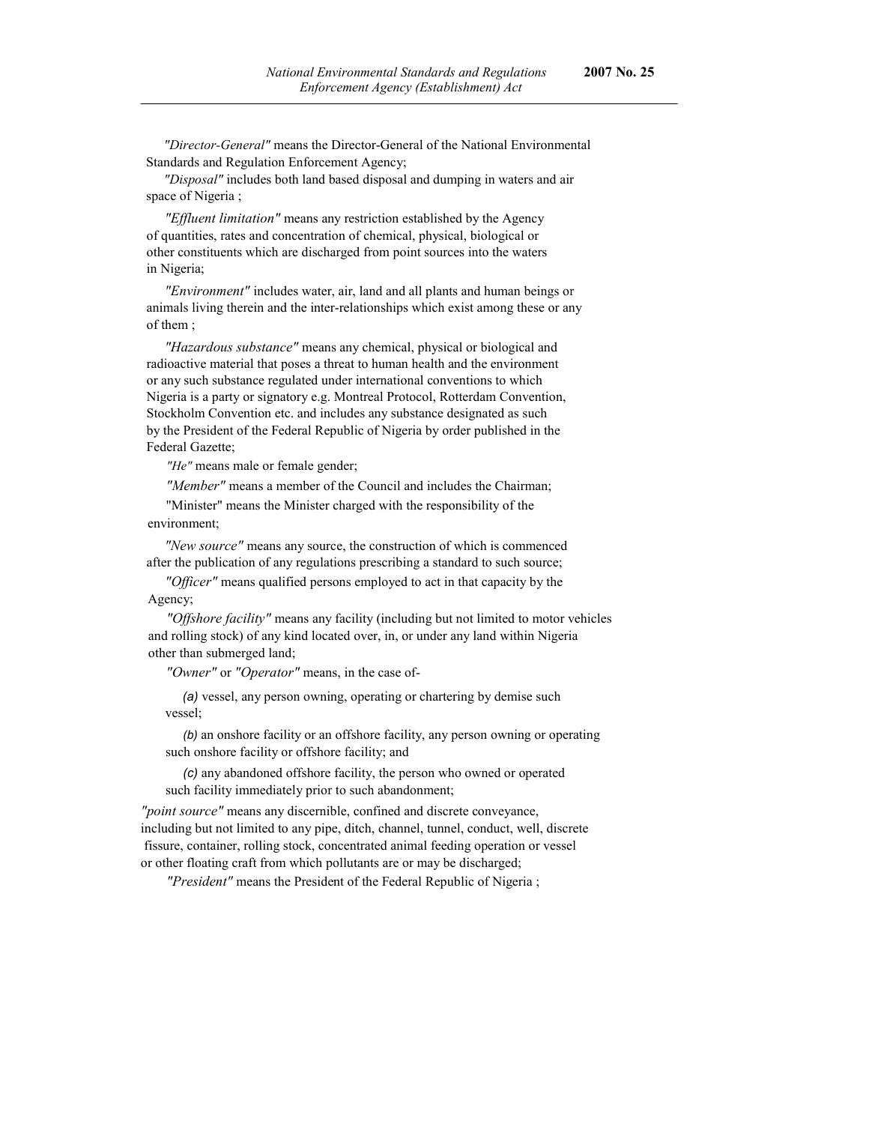*"Director-General"* means the Director-General of the National Environmental Standards and Regulation Enforcement Agency;

*"Disposal"* includes both land based disposal and dumping in waters and air space of Nigeria ;

*"Effluent limitation"* means any restriction established by the Agency of quantities, rates and concentration of chemical, physical, biological or other constituents which are discharged from point sources into the waters in Nigeria;

*"Environment"* includes water, air, land and all plants and human beings or animals living therein and the inter-relationships which exist among these or any of them ;

*"Hazardous substance"* means any chemical, physical or biological and radioactive material that poses a threat to human health and the environment or any such substance regulated under international conventions to which Nigeria is a party or signatory e.g. Montreal Protocol, Rotterdam Convention, Stockholm Convention etc. and includes any substance designated as such by the President of the Federal Republic of Nigeria by order published in the Federal Gazette;

*"He"* means male or female gender;

*"Member"* means a member of the Council and includes the Chairman;

"Minister" means the Minister charged with the responsibility of the environment;

*"New source"* means any source, the construction of which is commenced after the publication of any regulations prescribing a standard to such source;

*"Officer"* means qualified persons employed to act in that capacity by the Agency;

*"Offshore facility"* means any facility (including but not limited to motor vehicles and rolling stock) of any kind located over, in, or under any land within Nigeria other than submerged land;

*"Owner"* or *"Operator"* means, in the case of-

*(a)* vessel, any person owning, operating or chartering by demise such vessel;

*(b)* an onshore facility or an offshore facility, any person owning or operating such onshore facility or offshore facility; and

*(c)* any abandoned offshore facility, the person who owned or operated such facility immediately prior to such abandonment;

*"point source"* means any discernible, confined and discrete conveyance, including but not limited to any pipe, ditch, channel, tunnel, conduct, well, discrete fissure, container, rolling stock, concentrated animal feeding operation or vessel or other floating craft from which pollutants are or may be discharged;

*"President"* means the President of the Federal Republic of Nigeria ;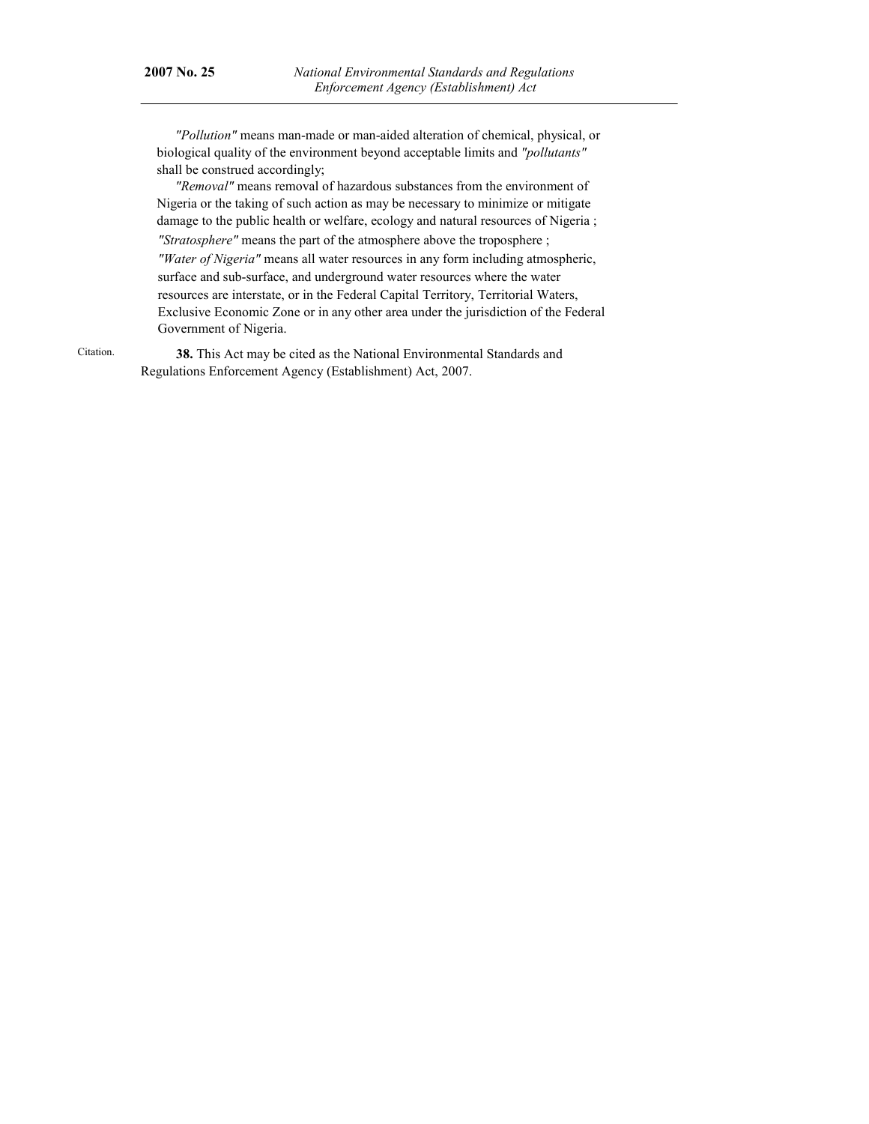*"Pollution"* means man-made or man-aided alteration of chemical, physical, or biological quality of the environment beyond acceptable limits and *"pollutants"*  shall be construed accordingly;

*"Removal"* means removal of hazardous substances from the environment of Nigeria or the taking of such action as may be necessary to minimize or mitigate damage to the public health or welfare, ecology and natural resources of Nigeria ; *"Stratosphere"* means the part of the atmosphere above the troposphere ; *"Water of Nigeria"* means all water resources in any form including atmospheric, surface and sub-surface, and underground water resources where the water resources are interstate, or in the Federal Capital Territory, Territorial Waters, Exclusive Economic Zone or in any other area under the jurisdiction of the Federal Government of Nigeria.

Citation.

**38.** This Act may be cited as the National Environmental Standards and Regulations Enforcement Agency (Establishment) Act, 2007.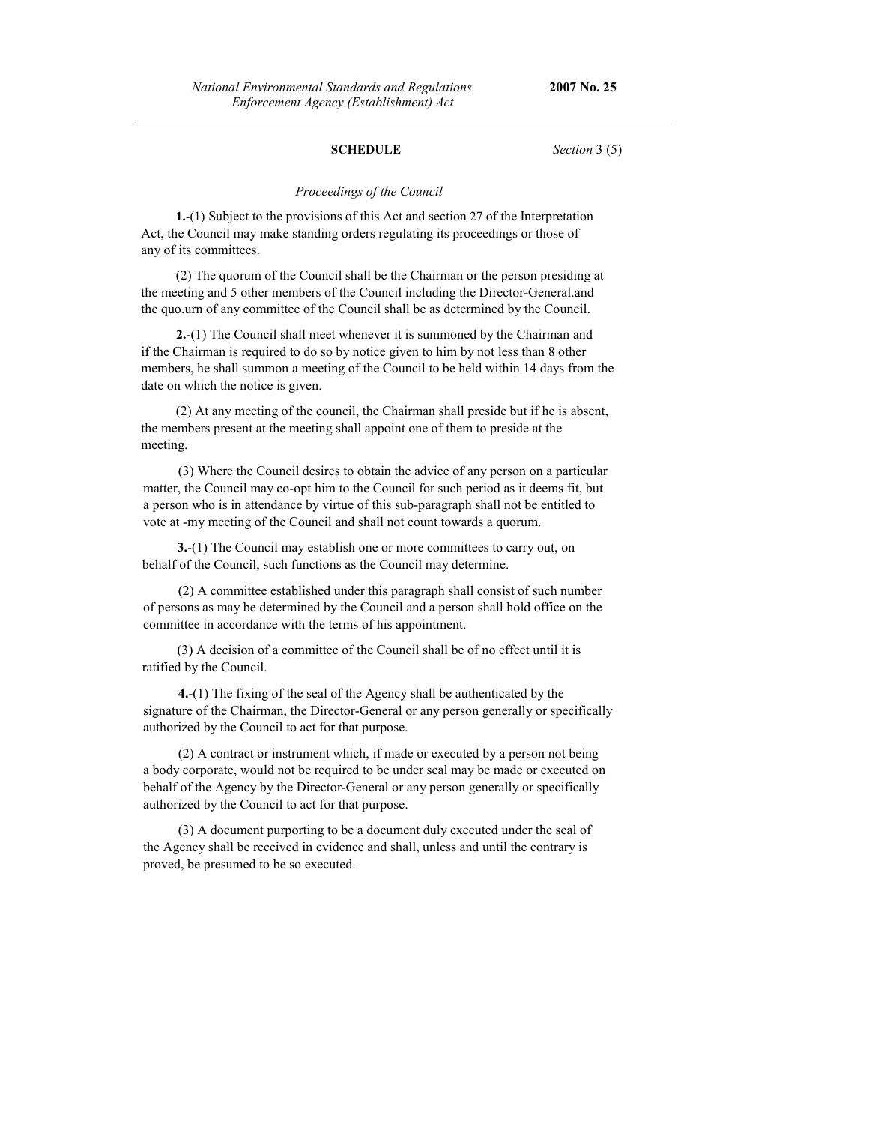#### **SCHEDULE** *Section* 3 (5)

#### *Proceedings of the Council*

**1.**-(1) Subject to the provisions of this Act and section 27 of the Interpretation Act, the Council may make standing orders regulating its proceedings or those of any of its committees.

(2) The quorum of the Council shall be the Chairman or the person presiding at the meeting and 5 other members of the Council including the Director-General.and the quo.urn of any committee of the Council shall be as determined by the Council.

**2.**-(1) The Council shall meet whenever it is summoned by the Chairman and if the Chairman is required to do so by notice given to him by not less than 8 other members, he shall summon a meeting of the Council to be held within 14 days from the date on which the notice is given.

(2) At any meeting of the council, the Chairman shall preside but if he is absent, the members present at the meeting shall appoint one of them to preside at the meeting.

(3) Where the Council desires to obtain the advice of any person on a particular matter, the Council may co-opt him to the Council for such period as it deems fit, but a person who is in attendance by virtue of this sub-paragraph shall not be entitled to vote at -my meeting of the Council and shall not count towards a quorum.

**3.**-(1) The Council may establish one or more committees to carry out, on behalf of the Council, such functions as the Council may determine.

(2) A committee established under this paragraph shall consist of such number of persons as may be determined by the Council and a person shall hold office on the committee in accordance with the terms of his appointment.

(3) A decision of a committee of the Council shall be of no effect until it is ratified by the Council.

**4.**-(1) The fixing of the seal of the Agency shall be authenticated by the signature of the Chairman, the Director-General or any person generally or specifically authorized by the Council to act for that purpose.

(2) A contract or instrument which, if made or executed by a person not being a body corporate, would not be required to be under seal may be made or executed on behalf of the Agency by the Director-General or any person generally or specifically authorized by the Council to act for that purpose.

(3) A document purporting to be a document duly executed under the seal of the Agency shall be received in evidence and shall, unless and until the contrary is proved, be presumed to be so executed.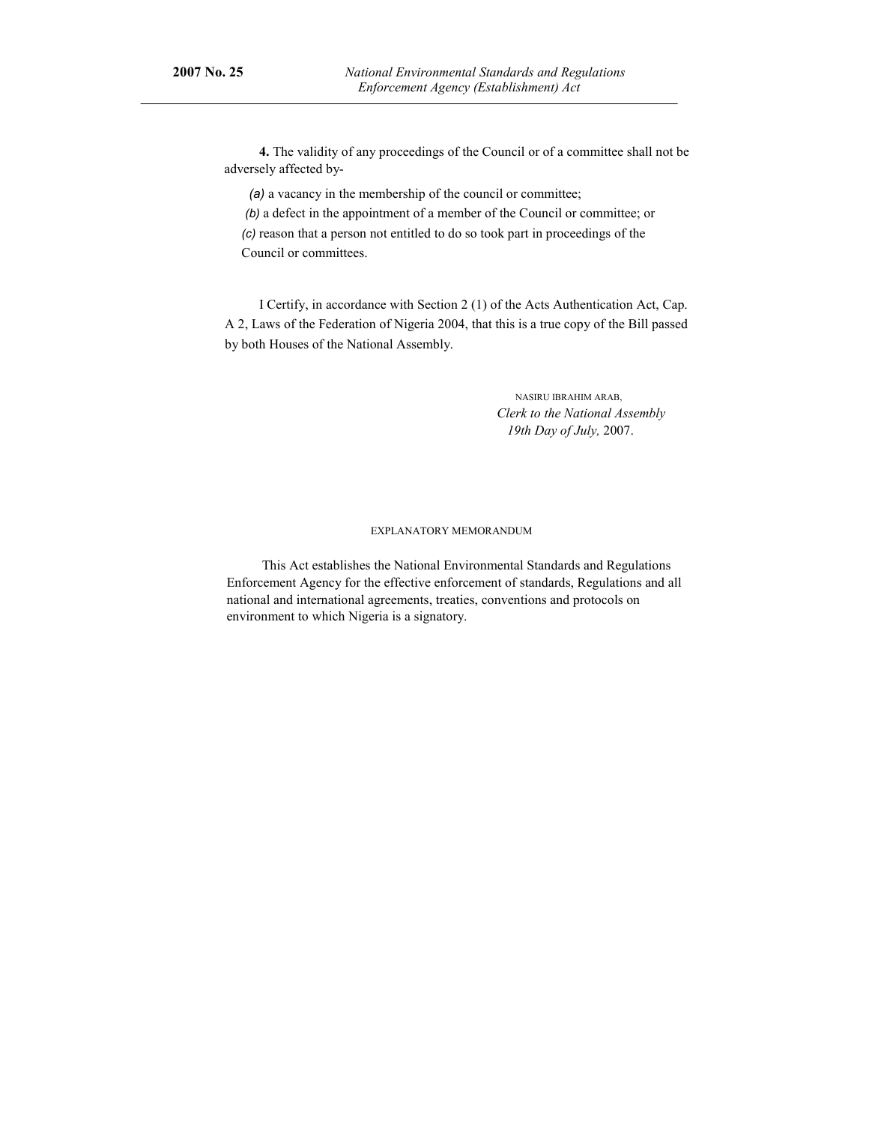**4.** The validity of any proceedings of the Council or of a committee shall not be adversely affected by-

*(a)* a vacancy in the membership of the council or committee;

 *(b)* a defect in the appointment of a member of the Council or committee; or *(c)* reason that a person not entitled to do so took part in proceedings of the Council or committees.

I Certify, in accordance with Section 2 (1) of the Acts Authentication Act, Cap. A 2, Laws of the Federation of Nigeria 2004, that this is a true copy of the Bill passed by both Houses of the National Assembly.

> NASIRU IBRAHIM ARAB, *Clerk to the National Assembly 19th Day of July,* 2007.

#### EXPLANATORY MEMORANDUM

This Act establishes the National Environmental Standards and Regulations Enforcement Agency for the effective enforcement of standards, Regulations and all national and international agreements, treaties, conventions and protocols on environment to which Nigeria is a signatory.